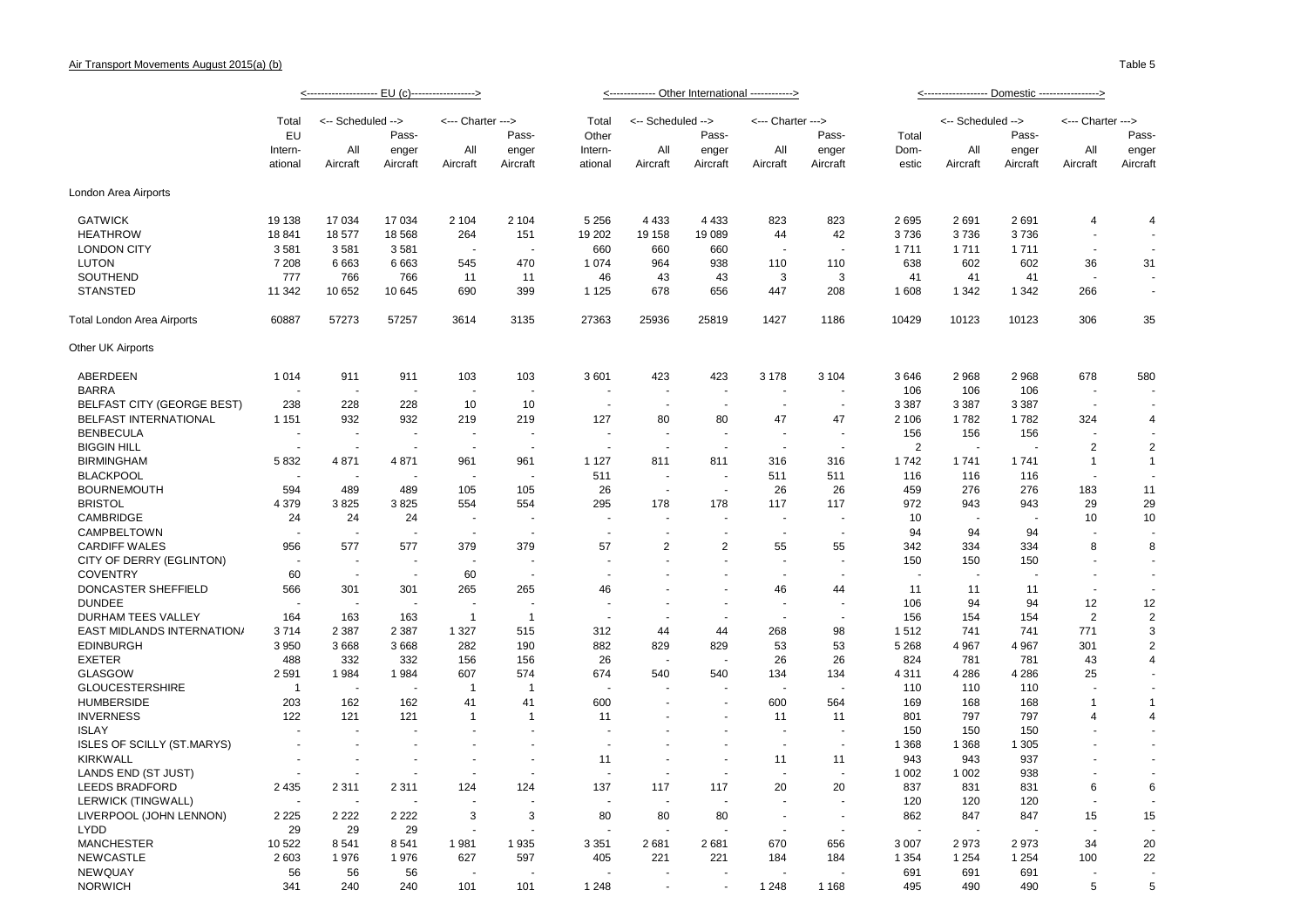|                                   |                          |                          |                          |                          |                          |                          | <------------- Other International ------------> |                          |                          |                          |                          |                   |                          |                          |                                |
|-----------------------------------|--------------------------|--------------------------|--------------------------|--------------------------|--------------------------|--------------------------|--------------------------------------------------|--------------------------|--------------------------|--------------------------|--------------------------|-------------------|--------------------------|--------------------------|--------------------------------|
|                                   | Total                    | <-- Scheduled -->        |                          | <--- Charter --->        |                          | Total                    | <-- Scheduled -->                                |                          | <--- Charter --->        |                          |                          | <-- Scheduled --> |                          | <--- Charter --->        |                                |
|                                   | EU                       |                          | Pass-                    |                          | Pass-                    | Other                    |                                                  | Pass-                    |                          | Pass-                    | Total                    |                   | Pass-                    |                          | Pass-                          |
|                                   | Intern-                  | All                      | enger                    | All<br>Aircraft          | enger<br>Aircraft        | Intern-                  | All                                              | enger                    | All                      | enger                    | Dom-<br>estic            | All<br>Aircraft   | enger                    | All<br>Aircraft          | enger<br>Aircraft              |
|                                   | ational                  | Aircraft                 | Aircraft                 |                          |                          | ational                  | Aircraft                                         | Aircraft                 | Aircraft                 | Aircraft                 |                          |                   | Aircraft                 |                          |                                |
| London Area Airports              |                          |                          |                          |                          |                          |                          |                                                  |                          |                          |                          |                          |                   |                          |                          |                                |
| <b>GATWICK</b>                    | 19 138                   | 17 034                   | 17 034                   | 2 104                    | 2 104                    | 5 2 5 6                  | 4 4 3 3                                          | 4 4 3 3                  | 823                      | 823                      | 2695                     | 2691              | 2691                     | $\overline{4}$           | $\overline{4}$                 |
| <b>HEATHROW</b>                   | 18 841                   | 18 577                   | 18 5 68                  | 264                      | 151                      | 19 20 2                  | 19 158                                           | 19 089                   | 44                       | 42                       | 3736                     | 3736              | 3736                     | $\sim$                   | $\overline{\phantom{a}}$       |
| <b>LONDON CITY</b>                | 3581                     | 3581                     | 3581                     | ٠.                       | ÷.                       | 660                      | 660                                              | 660                      | $\overline{\phantom{a}}$ | $\sim$                   | 1711                     | 1711              | 1711                     | $\blacksquare$           | $\sim$                         |
| <b>LUTON</b>                      | 7 208                    | 6663                     | 6663                     | 545                      | 470                      | 1074                     | 964                                              | 938                      | 110                      | 110                      | 638                      | 602               | 602                      | 36                       | 31                             |
| SOUTHEND                          | 777                      | 766                      | 766                      | 11                       | -11                      | 46                       | 43                                               | 43                       | 3                        | 3                        | 41                       | 41                | 41                       |                          | $\overline{\phantom{a}}$       |
| <b>STANSTED</b>                   | 11 342                   | 10 652                   | 10 645                   | 690                      | 399                      | 1 1 2 5                  | 678                                              | 656                      | 447                      | 208                      | 1 608                    | 1 3 4 2           | 1 3 4 2                  | 266                      | $\sim$                         |
| Total London Area Airports        | 60887                    | 57273                    | 57257                    | 3614                     | 3135                     | 27363                    | 25936                                            | 25819                    | 1427                     | 1186                     | 10429                    | 10123             | 10123                    | 306                      | 35                             |
| Other UK Airports                 |                          |                          |                          |                          |                          |                          |                                                  |                          |                          |                          |                          |                   |                          |                          |                                |
| ABERDEEN                          | 1014                     | 911                      | 911                      | 103                      | 103                      | 3601                     | 423                                              | 423                      | 3 1 7 8                  | 3 1 0 4                  | 3646                     | 2968              | 2 9 6 8                  | 678                      | 580                            |
| <b>BARRA</b>                      |                          | ÷                        | $\overline{\phantom{a}}$ | $\overline{\phantom{a}}$ | $\overline{\phantom{a}}$ |                          | $\sim$                                           | $\overline{\phantom{a}}$ | $\overline{\phantom{a}}$ |                          | 106                      | 106               | 106                      | $\blacksquare$           |                                |
| <b>BELFAST CITY (GEORGE BEST)</b> | 238                      | 228                      | 228                      | 10                       | 10                       |                          |                                                  |                          |                          | $\blacksquare$           | 3 3 8 7                  | 3 3 8 7           | 3 3 8 7                  |                          |                                |
| BELFAST INTERNATIONAL             | 1 1 5 1                  | 932                      | 932                      | 219                      | 219                      | 127                      | 80                                               | 80                       | 47                       | 47                       | 2 10 6                   | 1782              | 1782                     | 324                      | $\overline{4}$                 |
| <b>BENBECULA</b>                  |                          | $\sim$                   | $\sim$                   | ÷,                       | ÷,                       |                          | ÷,                                               | ÷,                       | $\overline{\phantom{a}}$ | $\overline{\phantom{a}}$ | 156                      | 156               | 156                      | ÷,                       | ÷,                             |
| <b>BIGGIN HILL</b>                |                          |                          |                          |                          |                          |                          |                                                  |                          |                          |                          | $\overline{2}$           |                   |                          | $\overline{2}$           | $\overline{2}$                 |
| <b>BIRMINGHAM</b>                 | 5832                     | 4 8 7 1                  | 4871                     | 961                      | 961                      | 1 1 2 7                  | 811                                              | 811                      | 316                      | 316                      | 1742                     | 1741              | 1741                     | $\mathbf{1}$             | $\overline{1}$                 |
| <b>BLACKPOOL</b>                  |                          | $\sim$                   |                          | $\blacksquare$           | $\sim$                   | 511                      | $\overline{\phantom{a}}$                         | ٠                        | 511                      | 511                      | 116                      | 116               | 116                      | ÷,                       |                                |
| <b>BOURNEMOUTH</b>                | 594                      | 489                      | 489                      | 105                      | 105                      | 26                       | $\sim$                                           | ÷.                       | 26                       | 26                       | 459                      | 276               | 276                      | 183                      | 11                             |
| <b>BRISTOL</b>                    | 4 3 7 9                  | 3825                     | 3825                     | 554                      | 554                      | 295                      | 178                                              | 178                      | 117                      | 117                      | 972                      | 943               | 943                      | 29                       | 29                             |
| CAMBRIDGE                         | 24                       | 24                       | 24                       | $\overline{\phantom{a}}$ | $\overline{\phantom{a}}$ | $\ddot{\phantom{1}}$     | $\overline{a}$                                   | $\ddot{\phantom{1}}$     | $\overline{\phantom{a}}$ | $\blacksquare$           | 10                       |                   |                          | 10                       | 10                             |
| CAMPBELTOWN                       |                          | ÷.                       | ÷.                       | - 11                     | $\sim$                   | $\overline{\phantom{a}}$ | $\overline{a}$                                   | ÷                        | $\sim$                   | $\sim$                   | 94                       | 94                | 94                       | $\overline{a}$           |                                |
| <b>CARDIFF WALES</b>              | 956                      | 577                      | 577                      | 379                      | 379                      | 57                       | $\overline{2}$                                   | $\overline{2}$           | 55                       | 55                       | 342                      | 334               | 334                      | 8                        | 8                              |
| CITY OF DERRY (EGLINTON)          |                          | $\sim$                   | ÷,                       | ÷,                       |                          |                          |                                                  |                          |                          |                          | 150                      | 150               | 150                      |                          | $\overline{\phantom{a}}$       |
| <b>COVENTRY</b>                   | 60                       | $\overline{\phantom{a}}$ | ÷.                       | 60                       | $\sim$                   | $\ddot{\phantom{1}}$     |                                                  |                          | $\overline{\phantom{a}}$ | $\blacksquare$           | $\overline{\phantom{a}}$ | ÷.                | $\overline{\phantom{a}}$ | $\overline{\phantom{a}}$ | $\sim$                         |
| DONCASTER SHEFFIELD               | 566                      | 301                      | 301                      | 265                      | 265                      | 46                       | ÷.                                               | ÷                        | 46                       | 44                       | 11                       | 11                | 11                       | $\blacksquare$           | $\sim$                         |
| <b>DUNDEE</b>                     | - 11                     | ÷.                       | ÷.                       | ÷,                       | ÷.                       |                          | ÷,                                               | ä,                       | ä,                       | ÷,                       | 106                      | 94                | 94                       | 12                       | 12                             |
| DURHAM TEES VALLEY                | 164                      | 163                      | 163                      | $\mathbf{1}$             | $\overline{1}$           | ÷.                       |                                                  |                          | ä,                       | ÷.                       | 156                      | 154               | 154                      | $\overline{2}$           | $\overline{2}$                 |
| EAST MIDLANDS INTERNATION/        | 3714                     | 2 3 8 7                  | 2 3 8 7                  | 1 3 2 7                  | 515                      | 312                      | 44                                               | 44                       | 268                      | 98                       | 1512                     | 741               | 741                      | 771                      | 3                              |
| <b>EDINBURGH</b>                  | 3 9 5 0                  | 3668                     | 3668                     | 282                      | 190                      | 882                      | 829                                              | 829                      | 53                       | 53                       | 5 2 6 8                  | 4 9 6 7           | 4 9 67                   | 301                      | $\overline{2}$                 |
| <b>EXETER</b>                     | 488                      | 332                      | 332                      | 156                      | 156                      | 26                       | $\sim$                                           | ÷.                       | 26                       | 26                       | 824                      | 781               | 781                      | 43                       | $\overline{4}$                 |
| <b>GLASGOW</b>                    | 2591                     | 1984                     | 1984                     | 607                      | 574                      | 674                      | 540                                              | 540                      | 134                      | 134                      | 4 3 1 1                  | 4 2 8 6           | 4 2 8 6                  | 25                       |                                |
| <b>GLOUCESTERSHIRE</b>            | $\overline{1}$           | $\overline{\phantom{a}}$ | $\overline{\phantom{a}}$ | $\overline{1}$           | $\overline{1}$           |                          |                                                  |                          |                          |                          | 110                      | 110               | 110                      | ٠                        | $\sim$                         |
| <b>HUMBERSIDE</b>                 | 203                      | 162                      | 162                      | 41                       | 41                       | 600                      | ÷.                                               | $\blacksquare$           | 600                      | 564                      | 169                      | 168               | 168                      | $\mathbf{1}$             | $\mathbf{1}$                   |
| <b>INVERNESS</b>                  | 122                      | 121                      | 121                      | $\mathbf{1}$             | $\mathbf{1}$             | 11                       |                                                  |                          | 11                       | 11                       | 801                      | 797               | 797                      | $\overline{4}$           | $\overline{4}$                 |
| <b>ISLAY</b>                      |                          |                          |                          |                          | ÷,                       |                          |                                                  |                          | $\overline{\phantom{a}}$ | $\blacksquare$           | 150                      | 150               | 150                      | $\overline{\phantom{a}}$ | $\blacksquare$                 |
| <b>ISLES OF SCILLY (ST.MARYS)</b> |                          |                          |                          |                          | $\ddot{\phantom{1}}$     | ÷.                       |                                                  | ÷.                       | $\sim$                   | $\overline{\phantom{a}}$ | 1 3 6 8                  | 1 3 6 8           | 1 3 0 5                  |                          | $\sim$                         |
| <b>KIRKWALL</b>                   | $\overline{\phantom{a}}$ | ÷.                       | $\sim$                   | $\overline{\phantom{a}}$ | ÷.                       | 11                       | ÷.                                               | ÷.                       | 11                       | 11                       | 943                      | 943               | 937                      | ÷.                       | $\sim$                         |
| LANDS END (ST JUST)               |                          |                          |                          | $\overline{\phantom{a}}$ | ÷.                       |                          |                                                  |                          |                          |                          | 1 0 0 2                  | 1 0 0 2           | 938                      |                          | ÷                              |
| <b>LEEDS BRADFORD</b>             | 2 4 3 5                  | 2 3 1 1                  | 2 3 1 1                  | 124                      | 124                      | 137                      | 117                                              | 117                      | 20                       | 20                       | 837                      | 831               | 831                      | 6                        | 6                              |
| LERWICK (TINGWALL)                | $\overline{\phantom{a}}$ | ÷.                       | ÷.                       |                          |                          | ÷.                       | ÷.                                               | L.                       | ÷.                       | ÷.                       | 120                      | 120               | 120                      | $\sim$                   | $\sim$                         |
| LIVERPOOL (JOHN LENNON)           | 2 2 2 5                  | 2 2 2 2                  | 2 2 2 2                  | 3                        | 3                        | 80                       | 80                                               | 80                       | $\blacksquare$           | $\mathbf{r}$             | 862                      | 847               | 847                      | 15                       | 15                             |
| <b>LYDD</b>                       | 29                       | 29                       | 29                       | $\overline{\phantom{a}}$ | J.                       |                          |                                                  |                          | ä,                       | ÷,                       | $\overline{\phantom{a}}$ | J.                |                          | ÷.                       |                                |
| <b>MANCHESTER</b>                 | 10 522                   | 8541                     | 8541                     |                          | 1935                     | 3 3 5 1                  | 2681                                             | 2681                     | 670                      | 656                      | 3 0 0 7                  | 2973              | 2973                     | 34                       | 20                             |
|                                   |                          |                          |                          | 1981                     |                          |                          |                                                  |                          |                          |                          |                          |                   |                          |                          |                                |
| <b>NEWCASTLE</b><br>NEWQUAY       | 2 6 0 3<br>56            | 1976<br>56               | 1976                     | 627                      | 597                      | 405                      | 221                                              | 221                      | 184                      | 184                      | 1 3 5 4<br>691           | 1 2 5 4<br>691    | 1 2 5 4<br>691           | 100<br>$\overline{a}$    | 22<br>$\overline{\phantom{a}}$ |
| <b>NORWICH</b>                    | 341                      | 240                      | 56<br>240                | 101                      | 101                      | 1 2 4 8                  | ÷.                                               | $\overline{a}$           | 1 2 4 8                  | 1 1 6 8                  | 495                      | 490               | 490                      | 5                        | 5                              |
|                                   |                          |                          |                          |                          |                          |                          |                                                  |                          |                          |                          |                          |                   |                          |                          |                                |